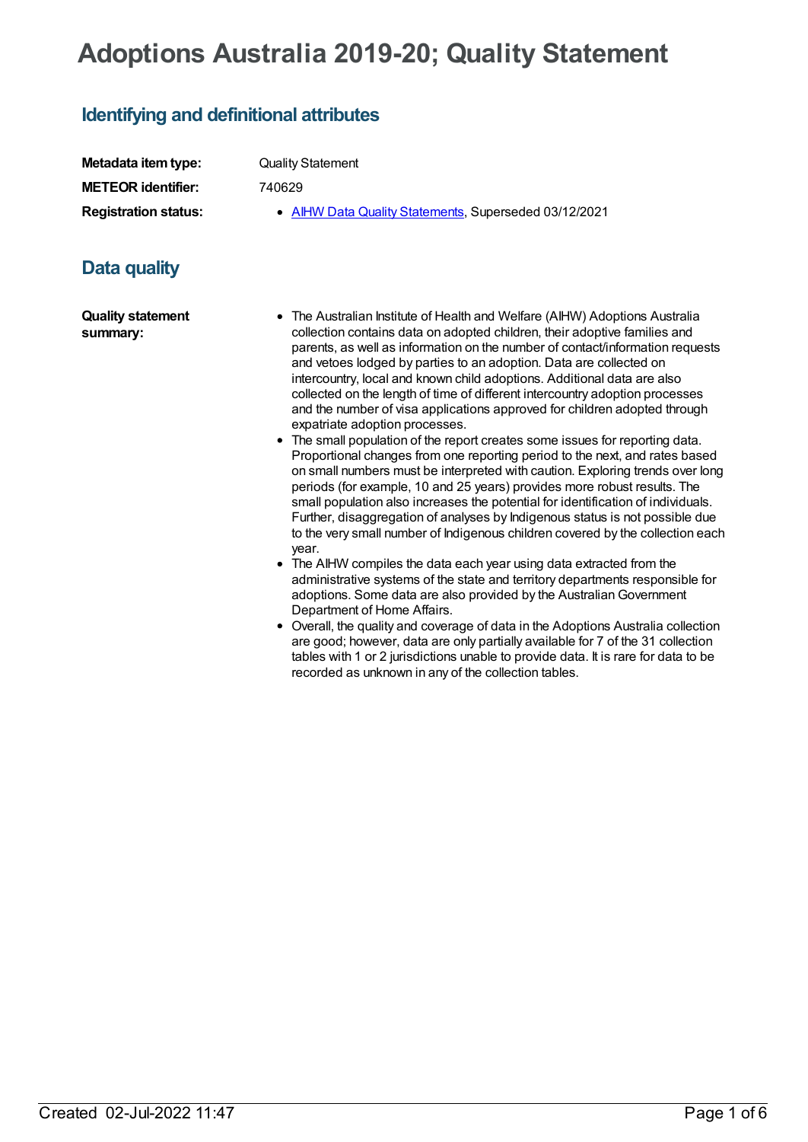# **Adoptions Australia 2019-20; Quality Statement**

## **Identifying and definitional attributes**

| Metadata item type:         | <b>Quality Statement</b>                              |
|-----------------------------|-------------------------------------------------------|
| <b>METEOR identifier:</b>   | 740629                                                |
| <b>Registration status:</b> | • AIHW Data Quality Statements, Superseded 03/12/2021 |

### **Data quality**

**Quality statement summary:**

- The Australian Institute of Health and Welfare (AIHW) Adoptions Australia collection contains data on adopted children, their adoptive families and parents, as well as information on the number of contact/information requests and vetoes lodged by parties to an adoption. Data are collected on intercountry, local and known child adoptions. Additional data are also collected on the length of time of different intercountry adoption processes and the number of visa applications approved for children adopted through expatriate adoption processes.
- The small population of the report creates some issues for reporting data. Proportional changes from one reporting period to the next, and rates based on small numbers must be interpreted with caution. Exploring trends over long periods (for example, 10 and 25 years) provides more robust results. The small population also increases the potential for identification of individuals. Further, disaggregation of analyses by Indigenous status is not possible due to the very small number of Indigenous children covered by the collection each year.
- The AIHW compiles the data each year using data extracted from the administrative systems of the state and territory departments responsible for adoptions. Some data are also provided by the Australian Government Department of Home Affairs.
- Overall, the quality and coverage of data in the Adoptions Australia collection are good; however, data are only partially available for 7 of the 31 collection tables with 1 or 2 jurisdictions unable to provide data. It is rare for data to be recorded as unknown in any of the collection tables.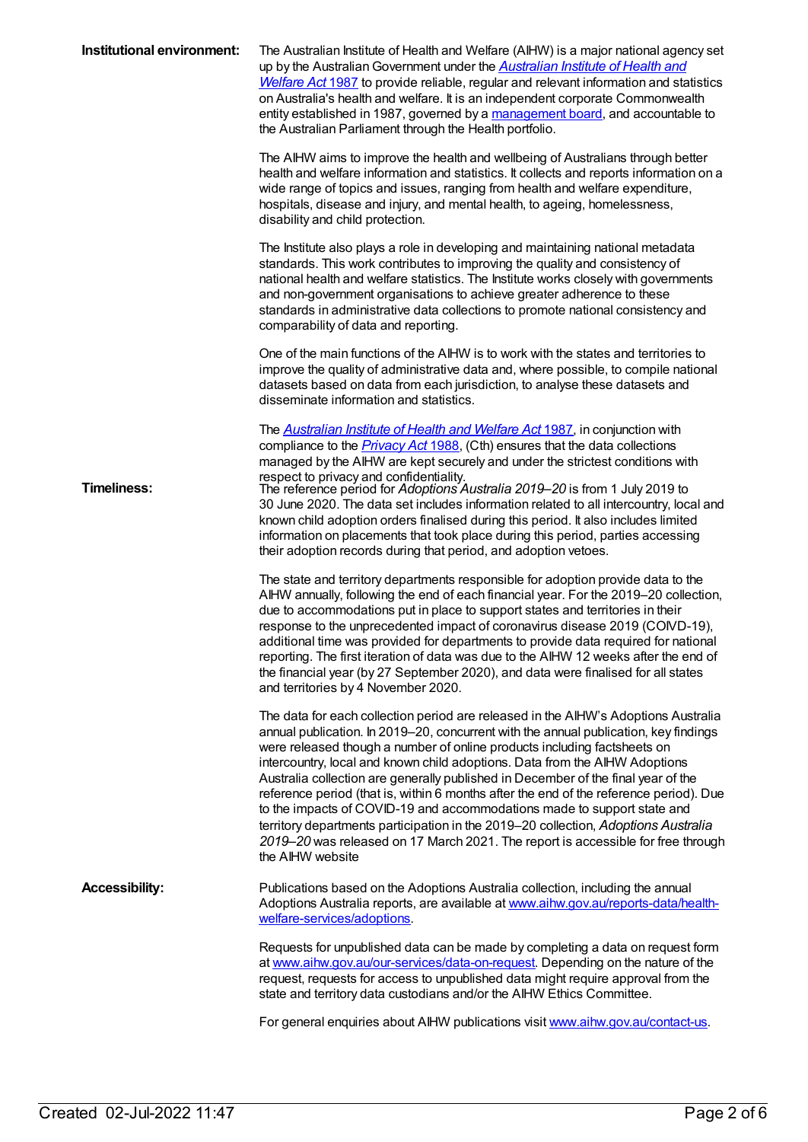| Institutional environment: | The Australian Institute of Health and Welfare (AIHW) is a major national agency set<br>up by the Australian Government under the <b>Australian Institute of Health and</b><br><b>Welfare Act 1987</b> to provide reliable, regular and relevant information and statistics<br>on Australia's health and welfare. It is an independent corporate Commonwealth<br>entity established in 1987, governed by a management board, and accountable to<br>the Australian Parliament through the Health portfolio.                                                                                                                                                                                                                                                                                    |
|----------------------------|-----------------------------------------------------------------------------------------------------------------------------------------------------------------------------------------------------------------------------------------------------------------------------------------------------------------------------------------------------------------------------------------------------------------------------------------------------------------------------------------------------------------------------------------------------------------------------------------------------------------------------------------------------------------------------------------------------------------------------------------------------------------------------------------------|
|                            | The AIHW aims to improve the health and wellbeing of Australians through better<br>health and welfare information and statistics. It collects and reports information on a<br>wide range of topics and issues, ranging from health and welfare expenditure,<br>hospitals, disease and injury, and mental health, to ageing, homelessness,<br>disability and child protection.                                                                                                                                                                                                                                                                                                                                                                                                                 |
|                            | The Institute also plays a role in developing and maintaining national metadata<br>standards. This work contributes to improving the quality and consistency of<br>national health and welfare statistics. The Institute works closely with governments<br>and non-government organisations to achieve greater adherence to these<br>standards in administrative data collections to promote national consistency and<br>comparability of data and reporting.                                                                                                                                                                                                                                                                                                                                 |
|                            | One of the main functions of the AIHW is to work with the states and territories to<br>improve the quality of administrative data and, where possible, to compile national<br>datasets based on data from each jurisdiction, to analyse these datasets and<br>disseminate information and statistics.                                                                                                                                                                                                                                                                                                                                                                                                                                                                                         |
| <b>Timeliness:</b>         | The <b>Australian Institute of Health and Welfare Act 1987</b> , in conjunction with<br>compliance to the <i>Privacy Act</i> 1988, (Cth) ensures that the data collections<br>managed by the AIHW are kept securely and under the strictest conditions with<br>respect to privacy and confidentiality.<br>The reference period for Adoptions Australia 2019-20 is from 1 July 2019 to<br>30 June 2020. The data set includes information related to all intercountry, local and<br>known child adoption orders finalised during this period. It also includes limited<br>information on placements that took place during this period, parties accessing<br>their adoption records during that period, and adoption vetoes.                                                                   |
|                            | The state and territory departments responsible for adoption provide data to the<br>AIHW annually, following the end of each financial year. For the 2019-20 collection,<br>due to accommodations put in place to support states and territories in their<br>response to the unprecedented impact of coronavirus disease 2019 (COND-19),<br>additional time was provided for departments to provide data required for national<br>reporting. The first iteration of data was due to the AIHW 12 weeks after the end of<br>the financial year (by 27 September 2020), and data were finalised for all states<br>and territories by 4 November 2020.                                                                                                                                            |
|                            | The data for each collection period are released in the AIHW's Adoptions Australia<br>annual publication. In 2019-20, concurrent with the annual publication, key findings<br>were released though a number of online products including factsheets on<br>intercountry, local and known child adoptions. Data from the AIHW Adoptions<br>Australia collection are generally published in December of the final year of the<br>reference period (that is, within 6 months after the end of the reference period). Due<br>to the impacts of COVID-19 and accommodations made to support state and<br>territory departments participation in the 2019-20 collection, Adoptions Australia<br>2019–20 was released on 17 March 2021. The report is accessible for free through<br>the AIHW website |
| <b>Accessibility:</b>      | Publications based on the Adoptions Australia collection, including the annual<br>Adoptions Australia reports, are available at www.aihw.gov.au/reports-data/health-<br>welfare-services/adoptions.                                                                                                                                                                                                                                                                                                                                                                                                                                                                                                                                                                                           |
|                            | Requests for unpublished data can be made by completing a data on request form<br>at www.aihw.gov.au/our-services/data-on-request. Depending on the nature of the<br>request, requests for access to unpublished data might require approval from the<br>state and territory data custodians and/or the AIHW Ethics Committee.                                                                                                                                                                                                                                                                                                                                                                                                                                                                |
|                            | For general enquiries about AIHW publications visit www.aihw.gov.au/contact-us.                                                                                                                                                                                                                                                                                                                                                                                                                                                                                                                                                                                                                                                                                                               |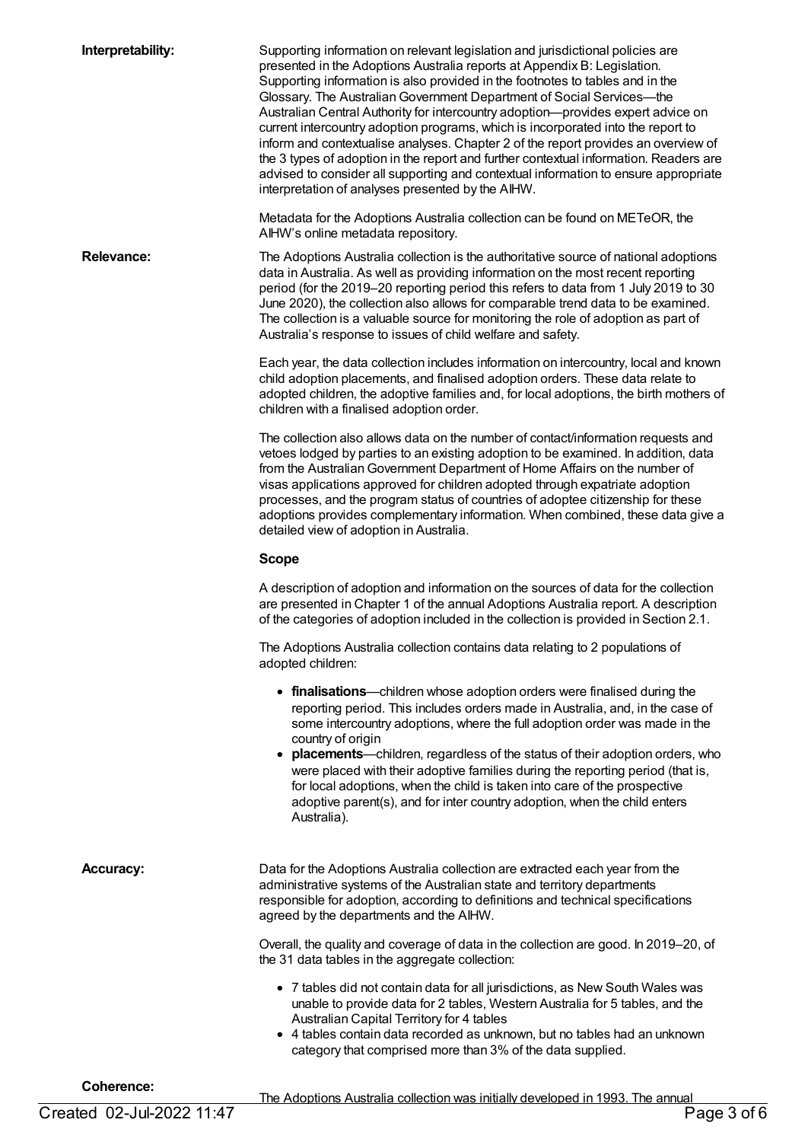**Interpretability:** Supporting information on relevant legislation and jurisdictional policies are presented in the Adoptions Australia reports at Appendix B: Legislation. Supporting information is also provided in the footnotes to tables and in the Glossary. The Australian Government Department of Social Services--- the Australian Central Authority for intercountry adoption—provides expert advice on current intercountry adoption programs, which is incorporated into the report to inform and contextualise analyses. Chapter 2 of the report provides an overview of the 3 types of adoption in the report and further contextual information. Readers are advised to consider all supporting and contextual information to ensure appropriate interpretation of analyses presented by the AIHW.

> Metadata for the Adoptions Australia collection can be found on METeOR, the AIHW's online metadata repository.

**Relevance:** The Adoptions Australia collection is the authoritative source of national adoptions data in Australia. As well as providing information on the most recent reporting period (for the 2019–20 reporting period this refers to data from 1 July 2019 to 30 June 2020), the collection also allows for comparable trend data to be examined. The collection is a valuable source for monitoring the role of adoption as part of Australia's response to issues of child welfare and safety.

> Each year, the data collection includes information on intercountry, local and known child adoption placements, and finalised adoption orders. These data relate to adopted children, the adoptive families and, for local adoptions, the birth mothers of children with a finalised adoption order.

> The collection also allows data on the number of contact/information requests and vetoes lodged by parties to an existing adoption to be examined. In addition, data from the Australian Government Department of Home Affairs on the number of visas applications approved for children adopted through expatriate adoption processes, and the program status of countries of adoptee citizenship for these adoptions provides complementary information. When combined, these data give a detailed view of adoption in Australia.

#### **Scope**

A description of adoption and information on the sources of data for the collection are presented in Chapter 1 of the annual Adoptions Australia report. A description of the categories of adoption included in the collection is provided in Section 2.1.

The Adoptions Australia collection contains data relating to 2 populations of adopted children:

- **finalisations**—children whose adoption orders were finalised during the reporting period. This includes orders made in Australia, and, in the case of some intercountry adoptions, where the full adoption order was made in the country of origin
- **placements**—children, regardless of the status of their adoption orders, who were placed with their adoptive families during the reporting period (that is, for local adoptions, when the child is taken into care of the prospective adoptive parent(s), and for inter country adoption, when the child enters Australia).

| <b>Accuracy:</b> | Data for the Adoptions Australia collection are extracted each year from the<br>administrative systems of the Australian state and territory departments<br>responsible for adoption, according to definitions and technical specifications<br>agreed by the departments and the AIHW.                                                                |
|------------------|-------------------------------------------------------------------------------------------------------------------------------------------------------------------------------------------------------------------------------------------------------------------------------------------------------------------------------------------------------|
|                  | Overall, the quality and coverage of data in the collection are good. In 2019–20, of<br>the 31 data tables in the aggregate collection:                                                                                                                                                                                                               |
|                  | • 7 tables did not contain data for all jurisdictions, as New South Wales was<br>unable to provide data for 2 tables, Western Australia for 5 tables, and the<br>Australian Capital Territory for 4 tables<br>• 4 tables contain data recorded as unknown, but no tables had an unknown<br>category that comprised more than 3% of the data supplied. |
| Coherence:       |                                                                                                                                                                                                                                                                                                                                                       |

The Adoptions Australia collection was initially developed in 1993. The annual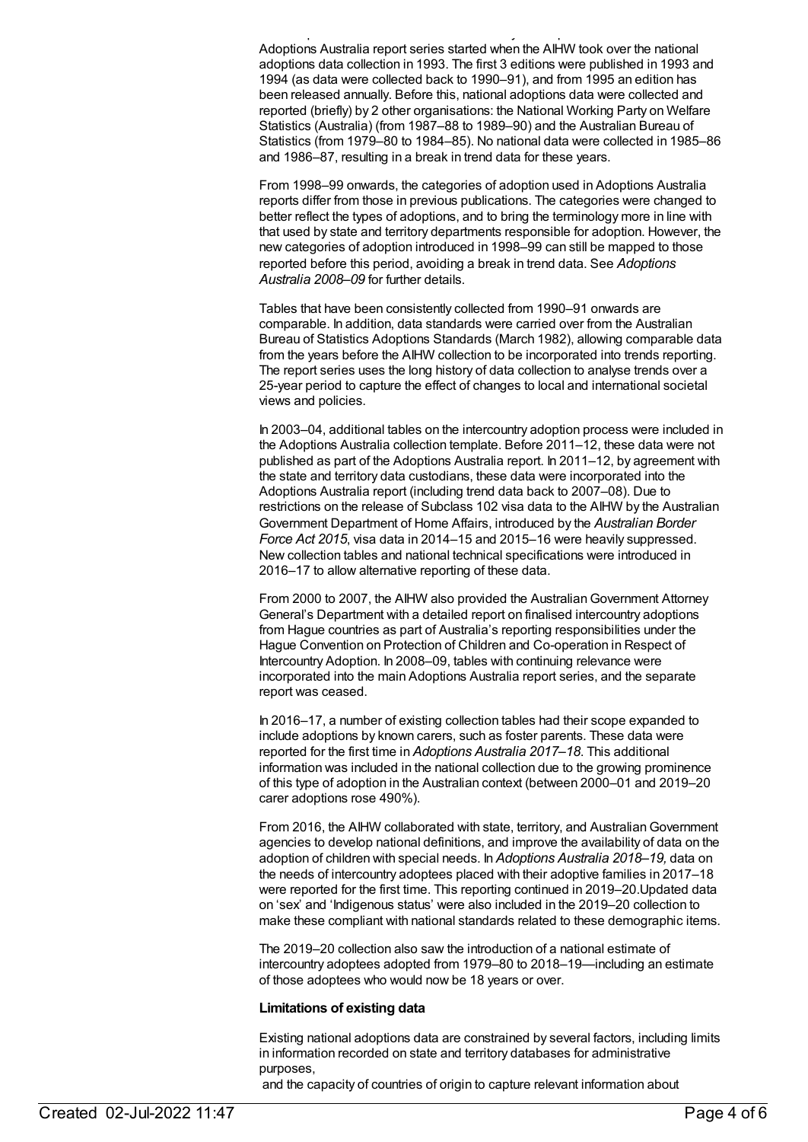The Adoptions Australia collection was initially developed in 1993. The annual Adoptions Australia report series started when the AIHW took over the national adoptions data collection in 1993. The first 3 editions were published in 1993 and 1994 (as data were collected back to 1990–91), and from 1995 an edition has been released annually. Before this, national adoptions data were collected and reported (briefly) by 2 other organisations: the National Working Party on Welfare Statistics (Australia) (from 1987–88 to 1989–90) and the Australian Bureau of Statistics (from 1979–80 to 1984–85). No national data were collected in 1985–86 and 1986–87, resulting in a break in trend data for these years.

From 1998–99 onwards, the categories of adoption used in Adoptions Australia reports differ from those in previous publications. The categories were changed to better reflect the types of adoptions, and to bring the terminology more in line with that used by state and territory departments responsible for adoption. However, the new categories of adoption introduced in 1998–99 can still be mapped to those reported before this period, avoiding a break in trend data. See *Adoptions Australia 2008–09* for further details.

Tables that have been consistently collected from 1990–91 onwards are comparable. In addition, data standards were carried over from the Australian Bureau of Statistics Adoptions Standards (March 1982), allowing comparable data from the years before the AIHW collection to be incorporated into trends reporting. The report series uses the long history of data collection to analyse trends over a 25-year period to capture the effect of changes to local and international societal views and policies.

In 2003–04, additional tables on the intercountry adoption process were included in the Adoptions Australia collection template. Before 2011–12, these data were not published as part of the Adoptions Australia report. In 2011–12, by agreement with the state and territory data custodians, these data were incorporated into the Adoptions Australia report (including trend data back to 2007–08). Due to restrictions on the release of Subclass 102 visa data to the AIHW by the Australian Government Department of Home Affairs, introduced by the *Australian Border Force Act 2015*, visa data in 2014–15 and 2015–16 were heavily suppressed. New collection tables and national technical specifications were introduced in 2016–17 to allow alternative reporting of these data.

From 2000 to 2007, the AIHW also provided the Australian Government Attorney General's Department with a detailed report on finalised intercountry adoptions from Hague countries as part of Australia's reporting responsibilities under the Hague Convention on Protection of Children and Co-operation in Respect of Intercountry Adoption. In 2008–09, tables with continuing relevance were incorporated into the main Adoptions Australia report series, and the separate report was ceased.

In 2016–17, a number of existing collection tables had their scope expanded to include adoptions by known carers, such as foster parents. These data were reported for the first time in *Adoptions Australia 2017–18*. This additional information was included in the national collection due to the growing prominence of this type of adoption in the Australian context (between 2000–01 and 2019–20 carer adoptions rose 490%).

From 2016, the AIHW collaborated with state, territory, and Australian Government agencies to develop national definitions, and improve the availability of data on the adoption of children with special needs. In *Adoptions Australia 2018–19,* data on the needs of intercountry adoptees placed with their adoptive families in 2017–18 were reported for the first time. This reporting continued in 2019–20.Updated data on 'sex' and 'Indigenous status' were also included in the 2019–20 collection to make these compliant with national standards related to these demographic items.

The 2019–20 collection also saw the introduction of a national estimate of intercountry adoptees adopted from 1979–80 to 2018–19—including an estimate of those adoptees who would now be 18 years or over.

#### **Limitations of existing data**

Existing national adoptions data are constrained by several factors, including limits in information recorded on state and territory databases for administrative purposes,

and the capacity of countries of origin to capture relevant information about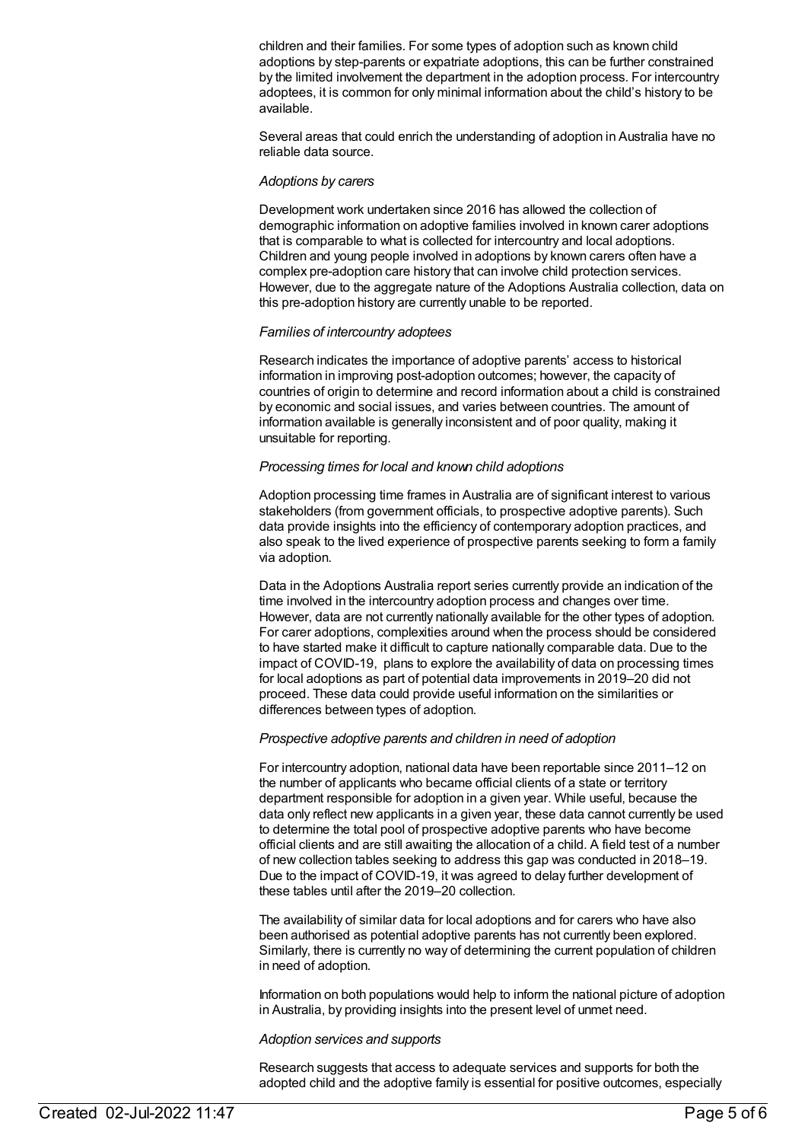children and their families. For some types of adoption such as known child adoptions by step-parents or expatriate adoptions, this can be further constrained by the limited involvement the department in the adoption process. For intercountry adoptees, it is common for only minimal information about the child's history to be available.

Several areas that could enrich the understanding of adoption in Australia have no reliable data source.

#### *Adoptions by carers*

Development work undertaken since 2016 has allowed the collection of demographic information on adoptive families involved in known carer adoptions that is comparable to what is collected for intercountry and local adoptions. Children and young people involved in adoptions by known carers often have a complex pre-adoption care history that can involve child protection services. However, due to the aggregate nature of the Adoptions Australia collection, data on this pre-adoption history are currently unable to be reported.

#### *Families of intercountry adoptees*

Research indicates the importance of adoptive parents' access to historical information in improving post-adoption outcomes; however, the capacity of countries of origin to determine and record information about a child is constrained by economic and social issues, and varies between countries. The amount of information available is generally inconsistent and of poor quality, making it unsuitable for reporting.

#### *Processing times for local and known child adoptions*

Adoption processing time frames in Australia are of significant interest to various stakeholders (from government officials, to prospective adoptive parents). Such data provide insights into the efficiency of contemporary adoption practices, and also speak to the lived experience of prospective parents seeking to form a family via adoption.

Data in the Adoptions Australia report series currently provide an indication of the time involved in the intercountry adoption process and changes over time. However, data are not currently nationally available for the other types of adoption. For carer adoptions, complexities around when the process should be considered to have started make it difficult to capture nationally comparable data. Due to the impact of COVID-19, plans to explore the availability of data on processing times for local adoptions as part of potential data improvements in 2019–20 did not proceed. These data could provide useful information on the similarities or differences between types of adoption.

#### *Prospective adoptive parents and children in need of adoption*

For intercountry adoption, national data have been reportable since 2011–12 on the number of applicants who became official clients of a state or territory department responsible for adoption in a given year. While useful, because the data only reflect new applicants in a given year, these data cannot currently be used to determine the total pool of prospective adoptive parents who have become official clients and are still awaiting the allocation of a child. A field test of a number of new collection tables seeking to address this gap was conducted in 2018–19. Due to the impact of COVID-19, it was agreed to delay further development of these tables until after the 2019–20 collection.

The availability of similar data for local adoptions and for carers who have also been authorised as potential adoptive parents has not currently been explored. Similarly, there is currently no way of determining the current population of children in need of adoption.

Information on both populations would help to inform the national picture of adoption in Australia, by providing insights into the present level of unmet need.

#### *Adoption services and supports*

Research suggests that access to adequate services and supports for both the adopted child and the adoptive family is essential for positive outcomes, especially